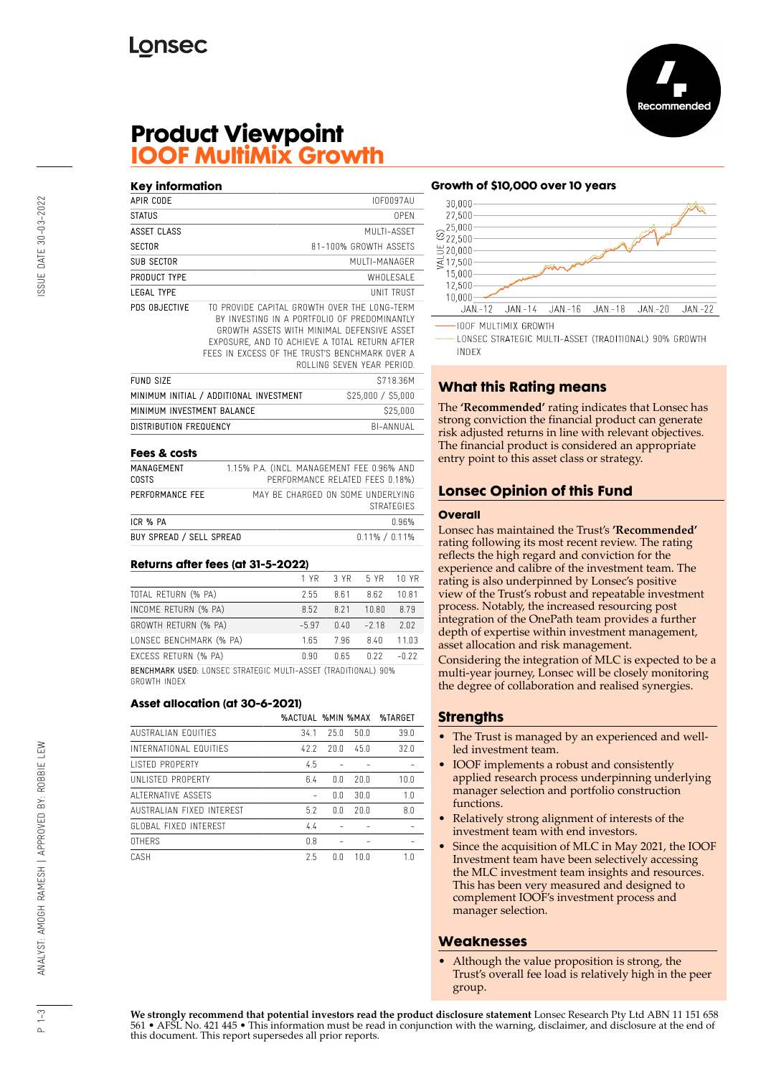

# **Product Viewpoint IOOF MultiMix Growth**

| Key information            |                                                                                                                                                                                                                                               |                            |
|----------------------------|-----------------------------------------------------------------------------------------------------------------------------------------------------------------------------------------------------------------------------------------------|----------------------------|
| APIR CODE                  |                                                                                                                                                                                                                                               | <b>IOF0097AU</b>           |
| <b>STATUS</b>              |                                                                                                                                                                                                                                               | 0PFN                       |
| <b>ASSET CLASS</b>         |                                                                                                                                                                                                                                               | MUITI-ASSFT                |
| <b>SECTOR</b>              |                                                                                                                                                                                                                                               | 81-100% GROWTH ASSETS      |
| SUB SECTOR                 |                                                                                                                                                                                                                                               | MUI TI-MANAGER             |
| PRODUCT TYPE               |                                                                                                                                                                                                                                               | WHOI FSAI F                |
| <b>LEGAL TYPE</b>          |                                                                                                                                                                                                                                               | <b>UNIT TRUST</b>          |
| PDS OBJECTIVE              | TO PROVIDE CAPITAL GROWTH OVER THE LONG-TERM<br>BY INVESTING IN A PORTFOLIO OF PREDOMINANTLY<br>GROWTH ASSETS WITH MINIMAL DEFENSIVE ASSET<br>EXPOSURE, AND TO ACHIEVE A TOTAL RETURN AFTER<br>FFFS IN EXCESS OF THE TRUST'S BENCHMARK OVER A | ROLLING SFVEN YFAR PERIOD. |
| <b>FUND SIZE</b>           |                                                                                                                                                                                                                                               | S718.36M                   |
|                            | MINIMUM INITIAL / ADDITIONAL INVESTMENT                                                                                                                                                                                                       | \$25,000 / \$5,000         |
| MINIMUM INVESTMENT BALANCE |                                                                                                                                                                                                                                               | \$25,000                   |
| DISTRIBUTION FREQUENCY     |                                                                                                                                                                                                                                               | BI-ANNUAI                  |
|                            |                                                                                                                                                                                                                                               |                            |

#### **Fees & costs**

| MANAGEMENT<br>COSTS      | 1.15% P.A. (INCL. MANAGEMENT FEE 0.96% AND<br>PERFORMANCE RELATED FEES 0.18%) |
|--------------------------|-------------------------------------------------------------------------------|
| PERFORMANCE FEE          | MAY BE CHARGED ON SOME UNDERLYING<br><b>STRATEGIES</b>                        |
| ICR % PA                 | በ 96%                                                                         |
| BUY SPREAD / SELL SPREAD | $0.11\% / 0.11\%$                                                             |

#### **Returns after fees (at 31-5-2022)**

|                                                                | 1 YR    | 3 YR  | 5 YR   | 10 YR |
|----------------------------------------------------------------|---------|-------|--------|-------|
| TOTAL RETURN (% PA)                                            | 2.55    | 8.61  | 8.62   | 10.81 |
| INCOME RETURN (% PA)                                           | 8.52    | 8 2 1 | 10.80  | 8.79  |
| GROWTH RETURN (% PA)                                           | $-5.97$ | 0.40  | $-218$ | 2.02  |
| LONSEC BENCHMARK (% PA)                                        | 1.65    | 7.96  | 8.40   | 11.03 |
| EXCESS RETURN (% PA)                                           | 0.90    | በ 65  | 0.22   | -0.22 |
| BENCHMARK USED: LONSEC STRATEGIC MULTI-ASSET (TRADITIONAL) 90% |         |       |        |       |

GROWTH INDEX

#### **Asset allocation (at 30-6-2021)**

|                            | %ACTUAL %MIN %MAX |      |      | %TARGET |
|----------------------------|-------------------|------|------|---------|
| <b>AUSTRALIAN FOUITIES</b> | 34.1              | 25.0 | 50.0 | 39.0    |
| INTERNATIONAL FOUITIES     | 42.2              | 20.0 | 45.0 | 32.0    |
| <b>LISTED PROPERTY</b>     | 4.5               |      |      |         |
| UNI ISTED PROPERTY         | 6.4               | 0.0  | 20.0 | 10.0    |
| ALTERNATIVE ASSETS         |                   | 0.0  | 30.0 | 1.0     |
| AUSTRALIAN FIXED INTEREST  | 5.2               | 0.0  | 20.0 | 8.0     |
| GLOBAL FIXED INTEREST      | 4.4               |      |      |         |
| <b>OTHERS</b>              | 0.8               |      |      |         |
| CASH                       | 2.5               | ΛN   | 100  | 1.0     |

#### **Growth of \$10,000 over 10 years**



LONSEC STRATEGIC MULTI-ASSET (TRADITIONAL) 90% GROWTH **INDEX** 

# **What this Rating means**

The **'Recommended'** rating indicates that Lonsec has strong conviction the financial product can generate risk adjusted returns in line with relevant objectives. The financial product is considered an appropriate entry point to this asset class or strategy.

## **Lonsec Opinion of this Fund**

#### **Overall**

Lonsec has maintained the Trust's **'Recommended'** rating following its most recent review. The rating reflects the high regard and conviction for the experience and calibre of the investment team. The rating is also underpinned by Lonsec's positive view of the Trust's robust and repeatable investment process. Notably, the increased resourcing post integration of the OnePath team provides a further depth of expertise within investment management, asset allocation and risk management.

Considering the integration of MLC is expected to be a multi-year journey, Lonsec will be closely monitoring the degree of collaboration and realised synergies.

### **Strengths**

- The Trust is managed by an experienced and wellled investment team.
- IOOF implements a robust and consistently applied research process underpinning underlying manager selection and portfolio construction functions.
- Relatively strong alignment of interests of the investment team with end investors.
- Since the acquisition of MLC in May 2021, the IOOF Investment team have been selectively accessing the MLC investment team insights and resources. This has been very measured and designed to complement IOOF's investment process and manager selection.

### **Weaknesses**

• Although the value proposition is strong, the Trust's overall fee load is relatively high in the peer group.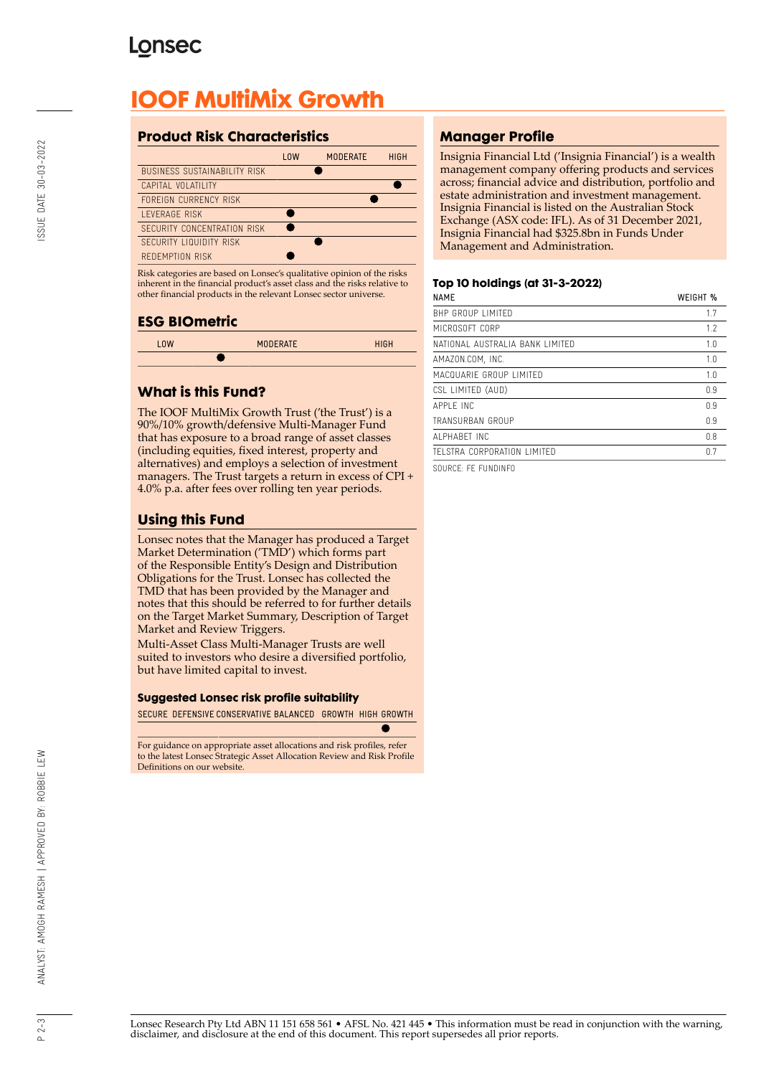# **Lonsec**

# **IOOF MultiMix Growth**

# **Product Risk Characteristics**

|                                     | <b>LOW</b> | <b>MODERATE</b> | <b>HIGH</b> |
|-------------------------------------|------------|-----------------|-------------|
| <b>BUSINESS SUSTAINABILITY RISK</b> |            |                 |             |
| CAPITAL VOLATILITY                  |            |                 |             |
| FORFIGN CURRENCY RISK               |            |                 |             |
| <b>I FVERAGE RISK</b>               |            |                 |             |
| SECURITY CONCENTRATION RISK         |            |                 |             |
| SECURITY LIQUIDITY RISK             |            |                 |             |
| REDEMPTION RISK                     |            |                 |             |

Risk categories are based on Lonsec's qualitative opinion of the risks inherent in the financial product's asset class and the risks relative to other financial products in the relevant Lonsec sector universe.

## **ESG BIOmetric**



# **What is this Fund?**

The IOOF MultiMix Growth Trust ('the Trust') is a 90%/10% growth/defensive Multi-Manager Fund that has exposure to a broad range of asset classes (including equities, fixed interest, property and alternatives) and employs a selection of investment managers. The Trust targets a return in excess of CPI + 4.0% p.a. after fees over rolling ten year periods.

# **Using this Fund**

Lonsec notes that the Manager has produced a Target Market Determination ('TMD') which forms part of the Responsible Entity's Design and Distribution Obligations for the Trust. Lonsec has collected the TMD that has been provided by the Manager and notes that this should be referred to for further details on the Target Market Summary, Description of Target Market and Review Triggers.

Multi-Asset Class Multi-Manager Trusts are well suited to investors who desire a diversified portfolio, but have limited capital to invest.

#### **Suggested Lonsec risk profile suitability**

SECURE DEFENSIVE CONSERVATIVE BALANCED GROWTH HIGH GROWTH

For guidance on appropriate asset allocations and risk profiles, refer to the latest Lonsec Strategic Asset Allocation Review and Risk Profile Definitions on our website.

# **Manager Profile**

Insignia Financial Ltd ('Insignia Financial') is a wealth management company offering products and services across; financial advice and distribution, portfolio and estate administration and investment management. Insignia Financial is listed on the Australian Stock Exchange (ASX code: IFL). As of 31 December 2021, Insignia Financial had \$325.8bn in Funds Under Management and Administration.

#### **Top 10 holdings (at 31-3-2022)**

| <b>NAME</b>                     | WEIGHT % |
|---------------------------------|----------|
| <b>BHP GROUP LIMITED</b>        | 1.7      |
| MICROSOFT CORP                  | 1.7      |
| NATIONAL AUSTRALIA BANK LIMITED | 1.0      |
| AMAZON.COM, INC.                | 1.0      |
| MACQUARIE GROUP LIMITED         | 1.0      |
| CSL LIMITED (AUD)               | 0.9      |
| APPI F INC                      | 0.9      |
| TRANSURBAN GROUP                | 0.9      |
| AI PHARFT INC                   | 0.8      |
| TELSTRA CORPORATION LIMITED     | 07       |
|                                 |          |

SOURCE: FE FUNDINFO